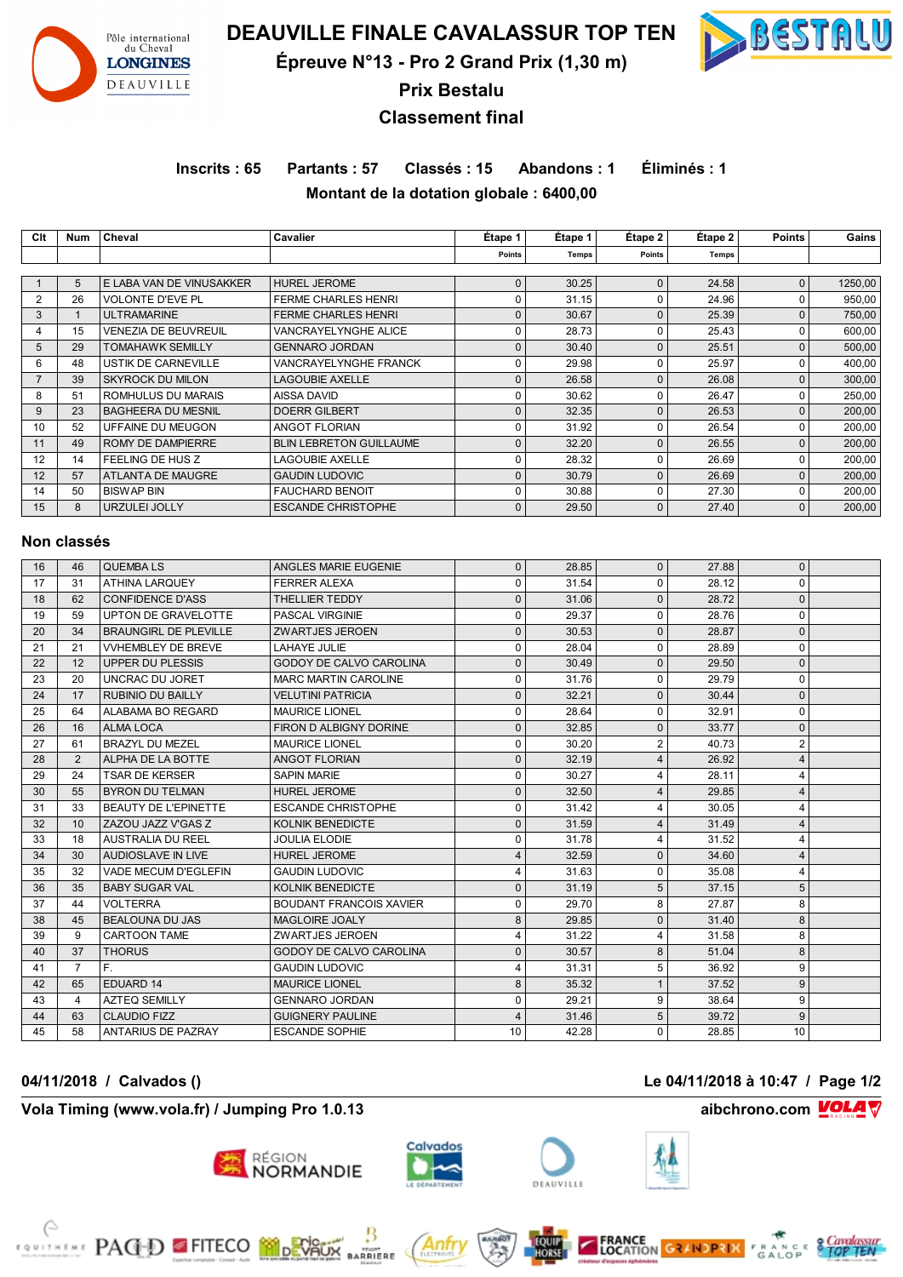

**DEAUVILLE FINALE CAVALASSUR TOP TEN**

**Épreuve N°13 - Pro 2 Grand Prix (1,30 m)**



**Prix Bestalu**

## **Classement final**

**Inscrits : 65 Partants : 57 Classés : 15 Abandons : 1 Éliminés : 1 Montant de la dotation globale : 6400,00**

| Clt            | Num         | Cheval                      | Cavalier                       | Étape 1      | Étape 1      | Étape 2      | Étape 2 | <b>Points</b> | Gains   |
|----------------|-------------|-----------------------------|--------------------------------|--------------|--------------|--------------|---------|---------------|---------|
|                |             |                             |                                | Points       | <b>Temps</b> | Points       | Temps   |               |         |
|                |             |                             |                                |              |              |              |         |               |         |
|                | 5           | E LABA VAN DE VINUSAKKER    | <b>HUREL JEROME</b>            | $\mathbf{0}$ | 30.25        | $\Omega$     | 24.58   | 0             | 1250,00 |
| 2              | 26          | <b>VOLONTE D'EVE PL</b>     | <b>FERME CHARLES HENRI</b>     | 0            | 31.15        | O            | 24.96   | 0             | 950,00  |
| 3              |             | <b>ULTRAMARINE</b>          | <b>FERME CHARLES HENRI</b>     | $\mathbf{0}$ | 30.67        | $\Omega$     | 25.39   | $\Omega$      | 750,00  |
| 4              | 15          | <b>VENEZIA DE BEUVREUIL</b> | VANCRAYELYNGHE ALICE           | $\Omega$     | 28.73        | O            | 25.43   | 0             | 600,00  |
| 5              | 29          | <b>TOMAHAWK SEMILLY</b>     | <b>GENNARO JORDAN</b>          | $\mathbf{0}$ | 30.40        | $\Omega$     | 25.51   | 0             | 500,00  |
| 6              | 48          | <b>USTIK DE CARNEVILLE</b>  | VANCRAYELYNGHE FRANCK          | 0            | 29.98        | O            | 25.97   | 0             | 400,00  |
| $\overline{7}$ | 39          | <b>SKYROCK DU MILON</b>     | <b>LAGOUBIE AXELLE</b>         | $\mathbf{0}$ | 26.58        | $\Omega$     | 26.08   | 0             | 300,00  |
| 8              | 51          | ROMHULUS DU MARAIS          | AISSA DAVID                    | 0            | 30.62        | O            | 26.47   | 0             | 250,00  |
| 9              | 23          | <b>BAGHEERA DU MESNIL</b>   | <b>DOERR GILBERT</b>           | $\mathbf{0}$ | 32.35        | $\Omega$     | 26.53   | 0             | 200,00  |
| 10             | 52          | UFFAINE DU MEUGON           | <b>ANGOT FLORIAN</b>           | 0            | 31.92        | n            | 26.54   | 0             | 200,00  |
| 11             | 49          | ROMY DE DAMPIERRE           | <b>BLIN LEBRETON GUILLAUME</b> | $\mathbf{0}$ | 32.20        | O            | 26.55   | 0             | 200,00  |
| 12             | 14          | FEELING DE HUS Z            | <b>LAGOUBIE AXELLE</b>         | 0            | 28.32        | O            | 26.69   | 0             | 200,00  |
| 12             | 57          | ATLANTA DE MAUGRE           | <b>GAUDIN LUDOVIC</b>          | 0            | 30.79        | $\Omega$     | 26.69   | 0             | 200,00  |
| 14             | 50          | <b>BISWAP BIN</b>           | <b>FAUCHARD BENOIT</b>         | 0            | 30.88        | U            | 27.30   | $\Omega$      | 200,00  |
| 15             | 8           | URZULEI JOLLY               | <b>ESCANDE CHRISTOPHE</b>      | $\mathbf 0$  | 29.50        | $\mathbf{0}$ | 27.40   | 0             | 200,00  |
|                |             |                             |                                |              |              |              |         |               |         |
|                | Non classés |                             |                                |              |              |              |         |               |         |
|                |             |                             |                                |              |              |              |         |               |         |

| 16 | 46             | <b>QUEMBALS</b>              | ANGLES MARIE EUGENIE           | $\mathbf{0}$ | 28.85 | $\mathbf{0}$     | 27.88 | 0              |  |
|----|----------------|------------------------------|--------------------------------|--------------|-------|------------------|-------|----------------|--|
| 17 | 31             | <b>ATHINA LAROUEY</b>        | <b>FERRER ALEXA</b>            | $\Omega$     | 31.54 | $\Omega$         | 28.12 | 0              |  |
| 18 | 62             | <b>CONFIDENCE D'ASS</b>      | THELLIER TEDDY                 | $\Omega$     | 31.06 | $\Omega$         | 28.72 | $\mathbf{0}$   |  |
| 19 | 59             | UPTON DE GRAVELOTTE          | <b>PASCAL VIRGINIE</b>         | 0            | 29.37 | $\mathbf 0$      | 28.76 | 0              |  |
| 20 | 34             | <b>BRAUNGIRL DE PLEVILLE</b> | <b>ZWARTJES JEROEN</b>         | $\Omega$     | 30.53 | $\Omega$         | 28.87 | $\mathbf{0}$   |  |
| 21 | 21             | <b>VVHEMBLEY DE BREVE</b>    | LAHAYE JULIE                   | $\Omega$     | 28.04 | $\Omega$         | 28.89 | 0              |  |
| 22 | 12             | <b>UPPER DU PLESSIS</b>      | <b>GODOY DE CALVO CAROLINA</b> | $\Omega$     | 30.49 | $\Omega$         | 29.50 | 0              |  |
| 23 | 20             | UNCRAC DU JORET              | <b>MARC MARTIN CAROLINE</b>    | $\Omega$     | 31.76 | $\Omega$         | 29.79 | 0              |  |
| 24 | 17             | <b>RUBINIO DU BAILLY</b>     | <b>VELUTINI PATRICIA</b>       | $\Omega$     | 32.21 | $\Omega$         | 30.44 | $\mathbf{0}$   |  |
| 25 | 64             | ALABAMA BO REGARD            | <b>MAURICE LIONEL</b>          | 0            | 28.64 | $\mathbf 0$      | 32.91 | 0              |  |
| 26 | 16             | <b>ALMA LOCA</b>             | FIRON D ALBIGNY DORINE         | $\Omega$     | 32.85 | $\Omega$         | 33.77 | 0              |  |
| 27 | 61             | <b>BRAZYL DU MEZEL</b>       | <b>MAURICE LIONEL</b>          | $\Omega$     | 30.20 | $\overline{2}$   | 40.73 | $\overline{2}$ |  |
| 28 | $\overline{2}$ | ALPHA DE LA BOTTE            | ANGOT FLORIAN                  | ŋ            | 32.19 | $\boldsymbol{4}$ | 26.92 | 4              |  |
| 29 | 24             | <b>TSAR DE KERSER</b>        | <b>SAPIN MARIE</b>             | $\Omega$     | 30.27 | 4                | 28.11 | 4              |  |
| 30 | 55             | <b>BYRON DU TELMAN</b>       | <b>HUREL JEROME</b>            | ŋ            | 32.50 | $\boldsymbol{4}$ | 29.85 | 4              |  |
| 31 | 33             | <b>BEAUTY DE L'EPINETTE</b>  | <b>ESCANDE CHRISTOPHE</b>      | U            | 31.42 | 4                | 30.05 | 4              |  |
| 32 | 10             | ZAZOU JAZZ V'GAS Z           | <b>KOLNIK BENEDICTE</b>        | 0            | 31.59 | $\boldsymbol{4}$ | 31.49 | 4              |  |
| 33 | 18             | <b>AUSTRALIA DU REEL</b>     | <b>JOULIA ELODIE</b>           | $\Omega$     | 31.78 | $\boldsymbol{4}$ | 31.52 | 4              |  |
| 34 | 30             | AUDIOSLAVE IN LIVE           | <b>HUREL JEROME</b>            | 4            | 32.59 | $\Omega$         | 34.60 | 4              |  |
| 35 | 32             | VADE MECUM D'EGLEFIN         | <b>GAUDIN LUDOVIC</b>          |              | 31.63 | $\Omega$         | 35.08 | 4              |  |
| 36 | 35             | <b>BABY SUGAR VAL</b>        | <b>KOLNIK BENEDICTE</b>        | $\Omega$     | 31.19 | 5                | 37.15 | 5              |  |
| 37 | 44             | <b>VOLTERRA</b>              | <b>BOUDANT FRANCOIS XAVIER</b> | 0            | 29.70 | 8                | 27.87 | 8              |  |
| 38 | 45             | <b>BEALOUNA DU JAS</b>       | <b>MAGLOIRE JOALY</b>          | 8            | 29.85 | $\Omega$         | 31.40 | 8              |  |
| 39 | 9              | <b>CARTOON TAME</b>          | ZWARTJES JEROEN                | 4            | 31.22 | 4                | 31.58 | 8              |  |
| 40 | 37             | <b>THORUS</b>                | <b>GODOY DE CALVO CAROLINA</b> | $\Omega$     | 30.57 | 8                | 51.04 | 8              |  |
| 41 | $\overline{7}$ | $F_{\rm L}$                  | <b>GAUDIN LUDOVIC</b>          | 4            | 31.31 | 5                | 36.92 | 9              |  |
| 42 | 65             | EDUARD 14                    | <b>MAURICE LIONEL</b>          | 8            | 35.32 |                  | 37.52 | 9              |  |
| 43 | 4              | <b>AZTEQ SEMILLY</b>         | <b>GENNARO JORDAN</b>          | 0            | 29.21 | 9                | 38.64 | 9              |  |
| 44 | 63             | <b>CLAUDIO FIZZ</b>          | <b>GUIGNERY PAULINE</b>        |              | 31.46 | 5                | 39.72 | 9              |  |
| 45 | 58             | <b>ANTARIUS DE PAZRAY</b>    | <b>ESCANDE SOPHIE</b>          | 10           | 42.28 | $\Omega$         | 28.85 | 10             |  |

#### **Vola Timing (www.vola.fr) / Jumping Pro 1.0.13 aibchrono.com VOLA**

**FOR THE PAGED FITECO MORTISTS** 





Anti

**MIGHT**<br>RRIERE





**FRANCE**<br>LOCATION GRANDRIX FRANCE **CANDISMS**